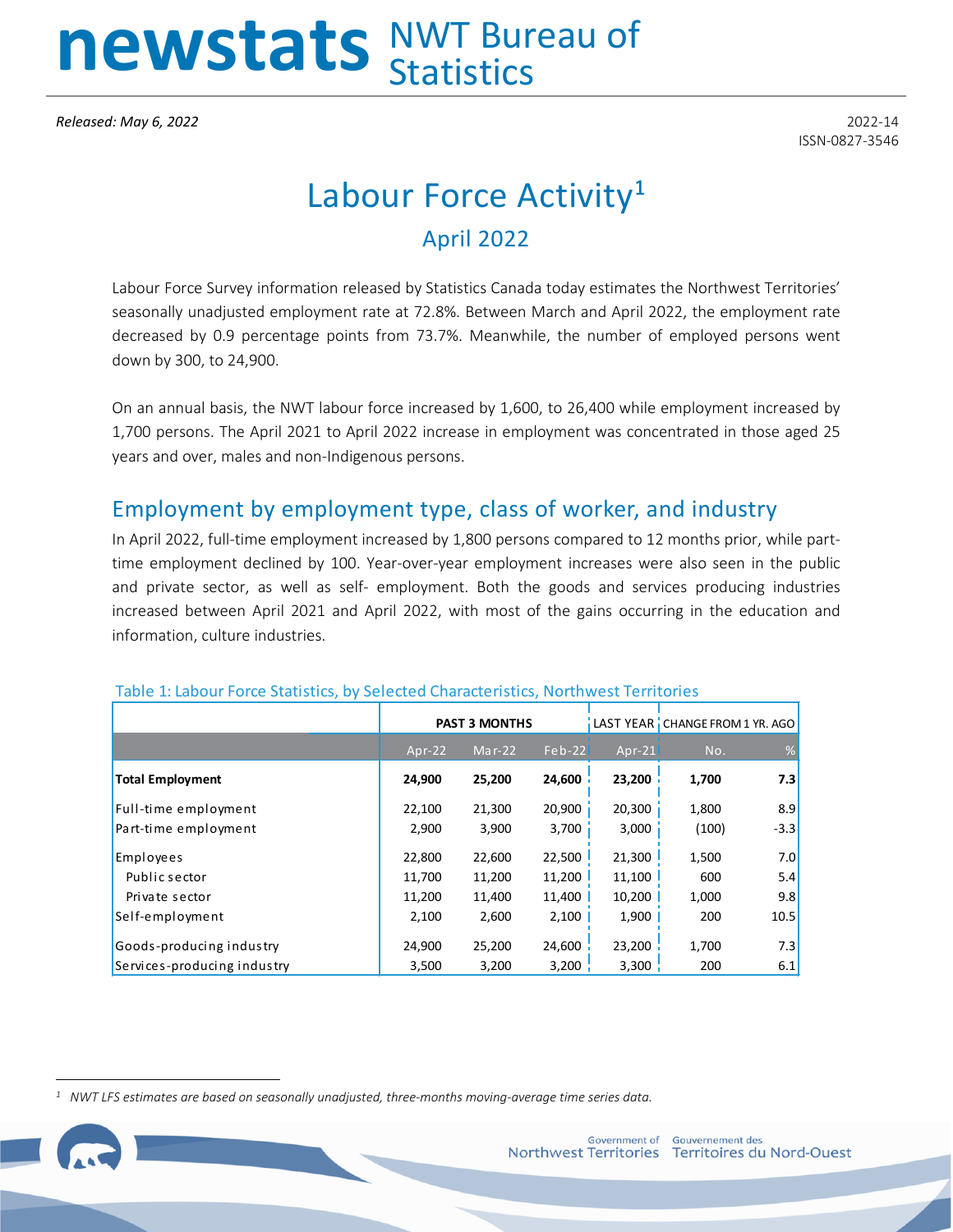# newstats NWT Bureau of

**Released: May 6, 2022** 2022-14

ISSN-0827-3546

# Labour Force Activity**[1](#page-0-0)** April 2022

Labour Force Survey information released by Statistics Canada today estimates the Northwest Territories' seasonally unadjusted employment rate at 72.8%. Between March and April 2022, the employment rate decreased by 0.9 percentage points from 73.7%. Meanwhile, the number of employed persons went down by 300, to 24,900.

On an annual basis, the NWT labour force increased by 1,600, to 26,400 while employment increased by 1,700 persons. The April 2021 to April 2022 increase in employment was concentrated in those aged 25 years and over, males and non-Indigenous persons.

## Employment by employment type, class of worker, and industry

In April 2022, full-time employment increased by 1,800 persons compared to 12 months prior, while parttime employment declined by 100. Year-over-year employment increases were also seen in the public and private sector, as well as self- employment. Both the goods and services producing industries increased between April 2021 and April 2022, with most of the gains occurring in the education and information, culture industries.

|                             |          | <b>PAST 3 MONTHS</b> |          |          | LAST YEAR   CHANGE FROM 1 YR. AGO |        |
|-----------------------------|----------|----------------------|----------|----------|-----------------------------------|--------|
|                             | $Apr-22$ | Mar-22               | $Feb-22$ | $Apr-21$ | No.                               | %      |
| <b>Total Employment</b>     | 24,900   | 25,200               | 24,600   | 23,200   | 1,700                             | 7.3    |
| Full-time employment        | 22,100   | 21,300               | 20,900   | 20,300   | 1,800                             | 8.9    |
| Part-time employment        | 2,900    | 3,900                | 3,700    | 3,000    | (100)                             | $-3.3$ |
| Employees                   | 22,800   | 22,600               | 22,500   | 21,300   | 1,500                             | 7.0    |
| Public sector               | 11,700   | 11,200               | 11,200   | 11,100   | 600                               | 5.4    |
| Private sector              | 11,200   | 11,400               | 11,400   | 10,200   | 1,000                             | 9.8    |
| Self-employment             | 2,100    | 2,600                | 2,100    | 1,900    | 200                               | 10.5   |
| Goods-producing industry    | 24,900   | 25,200               | 24,600   | 23,200   | 1,700                             | 7.3    |
| Services-producing industry | 3,500    | 3,200                | 3,200    | 3,300    | 200                               | 6.1    |

#### Table 1: Labour Force Statistics, by Selected Characteristics, Northwest Territories

<span id="page-0-0"></span>*1 NWT LFS estimates are based on seasonally unadjusted, three-months moving-average time series data.*